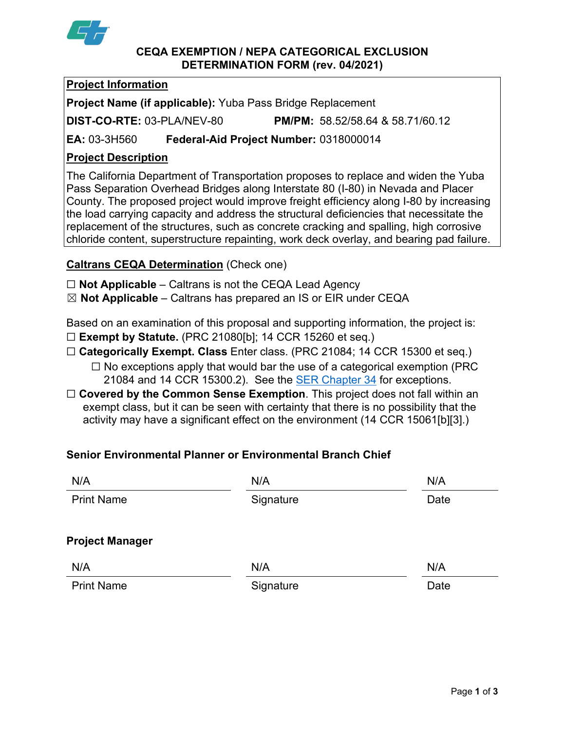

#### **CEQA EXEMPTION / NEPA CATEGORICAL EXCLUSION DETERMINATION FORM (rev. 04/2021)**

# **Project Information**

**Project Name (if applicable):** Yuba Pass Bridge Replacement

**DIST-CO-RTE:** 03-PLA/NEV-80 **PM/PM:** 58.52/58.64 & 58.71/60.12

**EA:** 03-3H560 **Federal-Aid Project Number:** 0318000014

# **Project Description**

The California Department of Transportation proposes to replace and widen the Yuba Pass Separation Overhead Bridges along Interstate 80 (I-80) in Nevada and Placer County. The proposed project would improve freight efficiency along I-80 by increasing the load carrying capacity and address the structural deficiencies that necessitate the replacement of the structures, such as concrete cracking and spalling, high corrosive chloride content, superstructure repainting, work deck overlay, and bearing pad failure.

## **Caltrans CEQA Determination** (Check one)

- ☐ **Not Applicable** Caltrans is not the CEQA Lead Agency
- ☒ **Not Applicable** Caltrans has prepared an IS or EIR under CEQA

Based on an examination of this proposal and supporting information, the project is: ☐ **Exempt by Statute.** (PRC 21080[b]; 14 CCR 15260 et seq.)

- ☐ **Categorically Exempt. Class** Enter class. (PRC 21084; 14 CCR 15300 et seq.)
	- $\Box$  No exceptions apply that would bar the use of a categorical exemption (PRC 21084 and 14 CCR 15300.2). See the **SER Chapter 34** for exceptions.
- □ **Covered by the Common Sense Exemption**. This project does not fall within an exempt class, but it can be seen with certainty that there is no possibility that the activity may have a significant effect on the environment (14 CCR 15061[b][3].)

# **Senior Environmental Planner or Environmental Branch Chief**

| N/A                    | N/A       | N/A  |
|------------------------|-----------|------|
| <b>Print Name</b>      | Signature | Date |
| <b>Project Manager</b> |           |      |
| N/A                    | N/A       | N/A  |
| <b>Print Name</b>      | Signature | Date |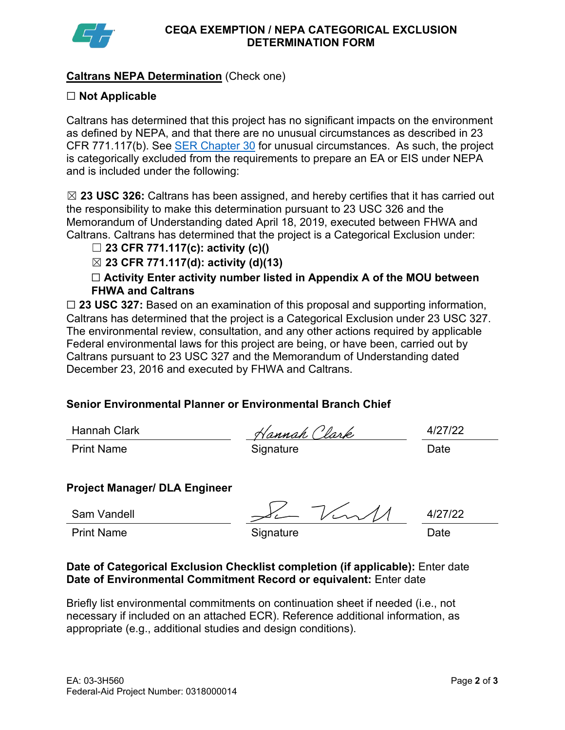

# **Caltrans NEPA Determination** (Check one)

### ☐ **Not Applicable**

Caltrans has determined that this project has no significant impacts on the environment as defined by NEPA, and that there are no unusual circumstances as described in 23 CFR 771.117(b). See [SER Chapter 30](https://dot.ca.gov/programs/environmental-analysis/standard-environmental-reference-ser/volume-1-guidance-for-compliance/ch-30-categorical-exclusions#exception) for unusual circumstances. As such, the project is categorically excluded from the requirements to prepare an EA or EIS under NEPA and is included under the following:

☒ **23 USC 326:** Caltrans has been assigned, and hereby certifies that it has carried out the responsibility to make this determination pursuant to 23 USC 326 and the Memorandum of Understanding dated April 18, 2019, executed between FHWA and Caltrans. Caltrans has determined that the project is a Categorical Exclusion under:

#### ☐ **23 CFR 771.117(c): activity (c)()**

☒ **23 CFR 771.117(d): activity (d)(13)**

☐ **Activity Enter activity number listed in Appendix A of the MOU between FHWA and Caltrans**

□ 23 USC 327: Based on an examination of this proposal and supporting information, Caltrans has determined that the project is a Categorical Exclusion under 23 USC 327. The environmental review, consultation, and any other actions required by applicable Federal environmental laws for this project are being, or have been, carried out by Caltrans pursuant to 23 USC 327 and the Memorandum of Understanding dated December 23, 2016 and executed by FHWA and Caltrans.

#### **Senior Environmental Planner or Environmental Branch Chief**

Print Name **Signature Date Date** 

Hannah Clark  $\forall$ annah Clark 4/27/22

# **Project Manager/ DLA Engineer**

Print Name **Signature Construction Construction** Date

Sam Vandell  $\sim$   $\sim$   $\sim$   $\sim$   $\sim$   $\sim$   $\sim$  4/27/22

**Date of Categorical Exclusion Checklist completion (if applicable):** Enter date **Date of Environmental Commitment Record or equivalent:** Enter date

Briefly list environmental commitments on continuation sheet if needed (i.e., not necessary if included on an attached ECR). Reference additional information, as appropriate (e.g., additional studies and design conditions).